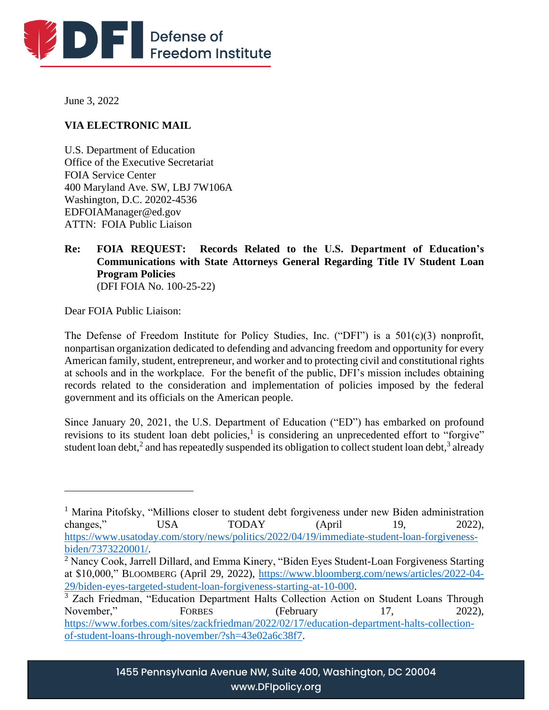

June 3, 2022

# **VIA ELECTRONIC MAIL**

U.S. Department of Education Office of the Executive Secretariat FOIA Service Center 400 Maryland Ave. SW, LBJ 7W106A Washington, D.C. 20202-4536 EDFOIAManager@ed.gov ATTN: FOIA Public Liaison

#### **Re: FOIA REQUEST: Records Related to the U.S. Department of Education's Communications with State Attorneys General Regarding Title IV Student Loan Program Policies** (DFI FOIA No. 100-25-22)

Dear FOIA Public Liaison:

The Defense of Freedom Institute for Policy Studies, Inc. ("DFI") is a 501(c)(3) nonprofit, nonpartisan organization dedicated to defending and advancing freedom and opportunity for every American family, student, entrepreneur, and worker and to protecting civil and constitutional rights at schools and in the workplace. For the benefit of the public, DFI's mission includes obtaining records related to the consideration and implementation of policies imposed by the federal government and its officials on the American people.

Since January 20, 2021, the U.S. Department of Education ("ED") has embarked on profound revisions to its student loan debt policies,<sup>1</sup> is considering an unprecedented effort to "forgive" student loan debt,<sup>2</sup> and has repeatedly suspended its obligation to collect student loan debt,<sup>3</sup> already

<sup>&</sup>lt;sup>1</sup> Marina Pitofsky, "Millions closer to student debt forgiveness under new Biden administration changes," USA TODAY (April 19, 2022), [https://www.usatoday.com/story/news/politics/2022/04/19/immediate-student-loan-forgiveness](https://www.usatoday.com/story/news/politics/2022/04/19/immediate-student-loan-forgiveness-biden/7373220001/)[biden/7373220001/.](https://www.usatoday.com/story/news/politics/2022/04/19/immediate-student-loan-forgiveness-biden/7373220001/)

<sup>&</sup>lt;sup>2</sup> Nancy Cook, Jarrell Dillard, and Emma Kinery, "Biden Eyes Student-Loan Forgiveness Starting at \$10,000," BLOOMBERG (April 29, 2022), [https://www.bloomberg.com/news/articles/2022-04-](https://www.bloomberg.com/news/articles/2022-04-29/biden-eyes-targeted-student-loan-forgiveness-starting-at-10-000) [29/biden-eyes-targeted-student-loan-forgiveness-starting-at-10-000.](https://www.bloomberg.com/news/articles/2022-04-29/biden-eyes-targeted-student-loan-forgiveness-starting-at-10-000)

<sup>&</sup>lt;sup>3</sup> Zach Friedman, "Education Department Halts Collection Action on Student Loans Through November," FORBES (February 17, 2022), [https://www.forbes.com/sites/zackfriedman/2022/02/17/education-department-halts-collection](https://www.forbes.com/sites/zackfriedman/2022/02/17/education-department-halts-collection-of-student-loans-through-november/?sh=43e02a6c38f7)[of-student-loans-through-november/?sh=43e02a6c38f7.](https://www.forbes.com/sites/zackfriedman/2022/02/17/education-department-halts-collection-of-student-loans-through-november/?sh=43e02a6c38f7)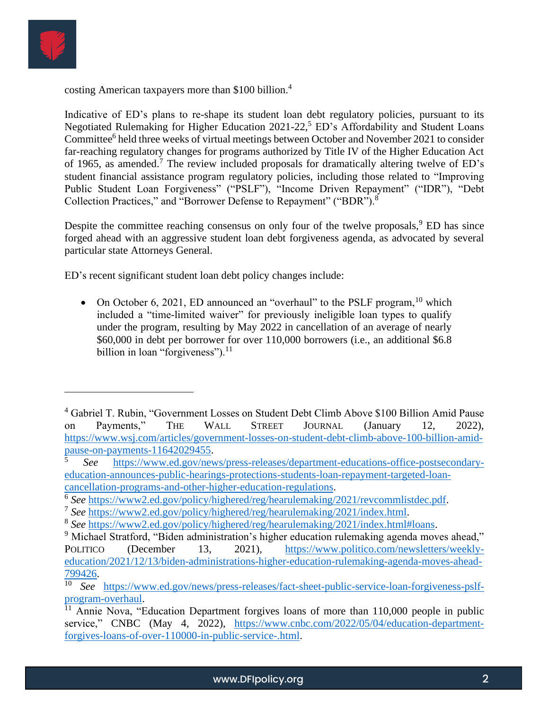

costing American taxpayers more than \$100 billion.<sup>4</sup>

Indicative of ED's plans to re-shape its student loan debt regulatory policies, pursuant to its Negotiated Rulemaking for Higher Education  $2021-22$ , ED's Affordability and Student Loans Committee<sup>6</sup> held three weeks of virtual meetings between October and November 2021 to consider far-reaching regulatory changes for programs authorized by Title IV of the Higher Education Act of 1965, as amended.<sup>7</sup> The review included proposals for dramatically altering twelve of  $ED$ 's student financial assistance program regulatory policies, including those related to "Improving Public Student Loan Forgiveness" ("PSLF"), "Income Driven Repayment" ("IDR"), "Debt Collection Practices," and "Borrower Defense to Repayment" ("BDR").<sup>8</sup>

Despite the committee reaching consensus on only four of the twelve proposals,  $9$  ED has since forged ahead with an aggressive student loan debt forgiveness agenda, as advocated by several particular state Attorneys General.

ED's recent significant student loan debt policy changes include:

• On October 6, 2021, ED announced an "overhaul" to the PSLF program,  $^{10}$  which included a "time-limited waiver" for previously ineligible loan types to qualify under the program, resulting by May 2022 in cancellation of an average of nearly \$60,000 in debt per borrower for over 110,000 borrowers (i.e., an additional \$6.8 billion in loan "forgiveness"). $^{11}$ 

<sup>4</sup> Gabriel T. Rubin, "Government Losses on Student Debt Climb Above \$100 Billion Amid Pause on Payments," THE WALL STREET JOURNAL (January 12, 2022), [https://www.wsj.com/articles/government-losses-on-student-debt-climb-above-100-billion-amid](https://www.wsj.com/articles/government-losses-on-student-debt-climb-above-100-billion-amid-pause-on-payments-11642029455)[pause-on-payments-11642029455.](https://www.wsj.com/articles/government-losses-on-student-debt-climb-above-100-billion-amid-pause-on-payments-11642029455)

<sup>5</sup> *See* [https://www.ed.gov/news/press-releases/department-educations-office-postsecondary](https://www.ed.gov/news/press-releases/department-educations-office-postsecondary-education-announces-public-hearings-protections-students-loan-repayment-targeted-loan-cancellation-programs-and-other-higher-education-regulations)[education-announces-public-hearings-protections-students-loan-repayment-targeted-loan](https://www.ed.gov/news/press-releases/department-educations-office-postsecondary-education-announces-public-hearings-protections-students-loan-repayment-targeted-loan-cancellation-programs-and-other-higher-education-regulations)[cancellation-programs-and-other-higher-education-regulations.](https://www.ed.gov/news/press-releases/department-educations-office-postsecondary-education-announces-public-hearings-protections-students-loan-repayment-targeted-loan-cancellation-programs-and-other-higher-education-regulations)

<sup>&</sup>lt;sup>6</sup> See [https://www2.ed.gov/policy/highered/reg/hearulemaking/2021/revcommlistdec.pdf.](https://www2.ed.gov/policy/highered/reg/hearulemaking/2021/revcommlistdec.pdf)

<sup>7</sup> *See* [https://www2.ed.gov/policy/highered/reg/hearulemaking/2021/index.html.](https://www2.ed.gov/policy/highered/reg/hearulemaking/2021/index.html)

<sup>8</sup> *See* [https://www2.ed.gov/policy/highered/reg/hearulemaking/2021/index.html#loans.](https://www2.ed.gov/policy/highered/reg/hearulemaking/2021/index.html#loans)

<sup>&</sup>lt;sup>9</sup> Michael Stratford, "Biden administration's higher education rulemaking agenda moves ahead," POLITICO (December 13, 2021), [https://www.politico.com/newsletters/weekly](https://www.politico.com/newsletters/weekly-education/2021/12/13/biden-administrations-higher-education-rulemaking-agenda-moves-ahead-799426)[education/2021/12/13/biden-administrations-higher-education-rulemaking-agenda-moves-ahead-](https://www.politico.com/newsletters/weekly-education/2021/12/13/biden-administrations-higher-education-rulemaking-agenda-moves-ahead-799426)[799426.](https://www.politico.com/newsletters/weekly-education/2021/12/13/biden-administrations-higher-education-rulemaking-agenda-moves-ahead-799426)

<sup>10</sup> *See* [https://www.ed.gov/news/press-releases/fact-sheet-public-service-loan-forgiveness-pslf](https://www.ed.gov/news/press-releases/fact-sheet-public-service-loan-forgiveness-pslf-program-overhaul)[program-overhaul.](https://www.ed.gov/news/press-releases/fact-sheet-public-service-loan-forgiveness-pslf-program-overhaul)

 $\frac{11}{11}$  Annie Nova, "Education Department forgives loans of more than 110,000 people in public service," CNBC (May 4, 2022), [https://www.cnbc.com/2022/05/04/education-department](https://www.cnbc.com/2022/05/04/education-department-forgives-loans-of-over-110000-in-public-service-.html)[forgives-loans-of-over-110000-in-public-service-.html.](https://www.cnbc.com/2022/05/04/education-department-forgives-loans-of-over-110000-in-public-service-.html)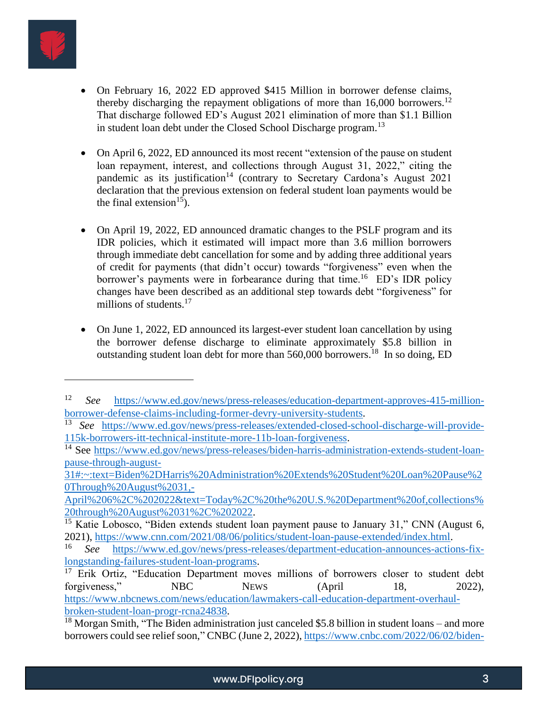

- On February 16, 2022 ED approved \$415 Million in borrower defense claims, thereby discharging the repayment obligations of more than  $16,000$  borrowers.<sup>12</sup> That discharge followed ED's August 2021 elimination of more than \$1.1 Billion in student loan debt under the Closed School Discharge program.<sup>13</sup>
- On April 6, 2022, ED announced its most recent "extension of the pause on student loan repayment, interest, and collections through August 31, 2022," citing the pandemic as its justification<sup>14</sup> (contrary to Secretary Cardona's August 2021 declaration that the previous extension on federal student loan payments would be the final extension<sup>15</sup>).
- On April 19, 2022, ED announced dramatic changes to the PSLF program and its IDR policies, which it estimated will impact more than 3.6 million borrowers through immediate debt cancellation for some and by adding three additional years of credit for payments (that didn't occur) towards "forgiveness" even when the borrower's payments were in forbearance during that time.<sup>16</sup> ED's IDR policy changes have been described as an additional step towards debt "forgiveness" for millions of students.<sup>17</sup>
- On June 1, 2022, ED announced its largest-ever student loan cancellation by using the borrower defense discharge to eliminate approximately \$5.8 billion in outstanding student loan debt for more than 560,000 borrowers.<sup>18</sup> In so doing, ED

[April%206%2C%202022&text=Today%2C%20the%20U.S.%20Department%20of,collections%](https://www.ed.gov/news/press-releases/biden-harris-administration-extends-student-loan-pause-through-august-31#:~:text=Biden%2DHarris%20Administration%20Extends%20Student%20Loan%20Pause%20Through%20August%2031,-April%206%2C%202022&text=Today%2C%20the%20U.S.%20Department%20of,collections%20through%20August%2031%2C%202022) [20through%20August%2031%2C%202022.](https://www.ed.gov/news/press-releases/biden-harris-administration-extends-student-loan-pause-through-august-31#:~:text=Biden%2DHarris%20Administration%20Extends%20Student%20Loan%20Pause%20Through%20August%2031,-April%206%2C%202022&text=Today%2C%20the%20U.S.%20Department%20of,collections%20through%20August%2031%2C%202022)

<sup>12</sup> *See* [https://www.ed.gov/news/press-releases/education-department-approves-415-million](https://www.ed.gov/news/press-releases/education-department-approves-415-million-borrower-defense-claims-including-former-devry-university-students)[borrower-defense-claims-including-former-devry-university-students.](https://www.ed.gov/news/press-releases/education-department-approves-415-million-borrower-defense-claims-including-former-devry-university-students)

<sup>13</sup> *See* [https://www.ed.gov/news/press-releases/extended-closed-school-discharge-will-provide-](https://www.ed.gov/news/press-releases/extended-closed-school-discharge-will-provide-115k-borrowers-itt-technical-institute-more-11b-loan-forgiveness)[115k-borrowers-itt-technical-institute-more-11b-loan-forgiveness.](https://www.ed.gov/news/press-releases/extended-closed-school-discharge-will-provide-115k-borrowers-itt-technical-institute-more-11b-loan-forgiveness)

<sup>&</sup>lt;sup>14</sup> See [https://www.ed.gov/news/press-releases/biden-harris-administration-extends-student-loan](https://www.ed.gov/news/press-releases/biden-harris-administration-extends-student-loan-pause-through-august-31#:~:text=Biden%2DHarris%20Administration%20Extends%20Student%20Loan%20Pause%20Through%20August%2031,-April%206%2C%202022&text=Today%2C%20the%20U.S.%20Department%20of,collections%20through%20August%2031%2C%202022)[pause-through-august-](https://www.ed.gov/news/press-releases/biden-harris-administration-extends-student-loan-pause-through-august-31#:~:text=Biden%2DHarris%20Administration%20Extends%20Student%20Loan%20Pause%20Through%20August%2031,-April%206%2C%202022&text=Today%2C%20the%20U.S.%20Department%20of,collections%20through%20August%2031%2C%202022)

[<sup>31#:~:</sup>text=Biden%2DHarris%20Administration%20Extends%20Student%20Loan%20Pause%2](https://www.ed.gov/news/press-releases/biden-harris-administration-extends-student-loan-pause-through-august-31#:~:text=Biden%2DHarris%20Administration%20Extends%20Student%20Loan%20Pause%20Through%20August%2031,-April%206%2C%202022&text=Today%2C%20the%20U.S.%20Department%20of,collections%20through%20August%2031%2C%202022) [0Through%20August%2031,-](https://www.ed.gov/news/press-releases/biden-harris-administration-extends-student-loan-pause-through-august-31#:~:text=Biden%2DHarris%20Administration%20Extends%20Student%20Loan%20Pause%20Through%20August%2031,-April%206%2C%202022&text=Today%2C%20the%20U.S.%20Department%20of,collections%20through%20August%2031%2C%202022)

<sup>&</sup>lt;sup>15</sup> Katie Lobosco, "Biden extends student loan payment pause to January 31," CNN (August 6, 2021), [https://www.cnn.com/2021/08/06/politics/student-loan-pause-extended/index.html.](https://www.cnn.com/2021/08/06/politics/student-loan-pause-extended/index.html)

<sup>16</sup> *See* [https://www.ed.gov/news/press-releases/department-education-announces-actions-fix](https://www.ed.gov/news/press-releases/department-education-announces-actions-fix-longstanding-failures-student-loan-programs)[longstanding-failures-student-loan-programs.](https://www.ed.gov/news/press-releases/department-education-announces-actions-fix-longstanding-failures-student-loan-programs)

<sup>&</sup>lt;sup>17</sup> Erik Ortiz, "Education Department moves millions of borrowers closer to student debt forgiveness," NBC NEWS (April 18, 2022), [https://www.nbcnews.com/news/education/lawmakers-call-education-department-overhaul](https://www.nbcnews.com/news/education/lawmakers-call-education-department-overhaul-broken-student-loan-progr-rcna24838)[broken-student-loan-progr-rcna24838.](https://www.nbcnews.com/news/education/lawmakers-call-education-department-overhaul-broken-student-loan-progr-rcna24838)

 $18$  Morgan Smith, "The Biden administration just canceled \$5.8 billion in student loans – and more borrowers could see relief soon," CNBC (June 2, 2022), [https://www.cnbc.com/2022/06/02/biden-](https://www.cnbc.com/2022/06/02/biden-administration-cancels-5point8-billion-in-student-loans-more-borrowers-could-see-relief-soon.html)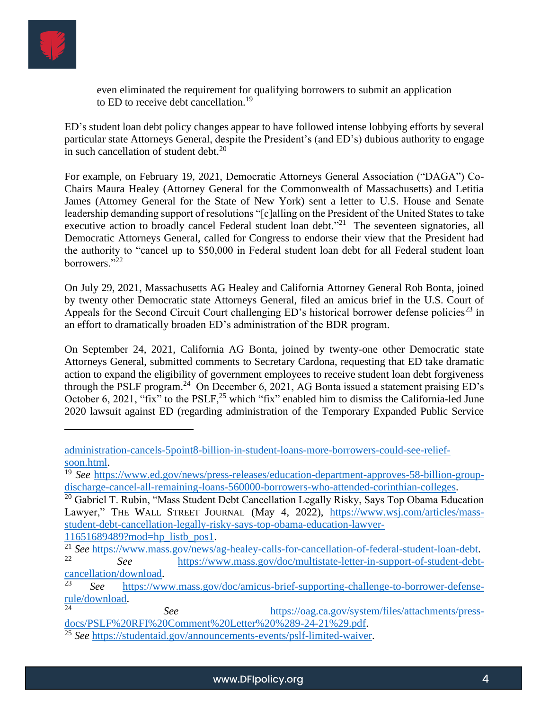

even eliminated the requirement for qualifying borrowers to submit an application to ED to receive debt cancellation.<sup>19</sup>

ED's student loan debt policy changes appear to have followed intense lobbying efforts by several particular state Attorneys General, despite the President's (and ED's) dubious authority to engage in such cancellation of student debt. $^{20}$ 

For example, on February 19, 2021, Democratic Attorneys General Association ("DAGA") Co-Chairs Maura Healey (Attorney General for the Commonwealth of Massachusetts) and Letitia James (Attorney General for the State of New York) sent a letter to U.S. House and Senate leadership demanding support of resolutions "[c]alling on the President of the United States to take executive action to broadly cancel Federal student loan debt."<sup>21</sup> The seventeen signatories, all Democratic Attorneys General, called for Congress to endorse their view that the President had the authority to "cancel up to \$50,000 in Federal student loan debt for all Federal student loan borrowers."<sup>22</sup>

On July 29, 2021, Massachusetts AG Healey and California Attorney General Rob Bonta, joined by twenty other Democratic state Attorneys General, filed an amicus brief in the U.S. Court of Appeals for the Second Circuit Court challenging  $ED$ 's historical borrower defense policies<sup>23</sup> in an effort to dramatically broaden ED's administration of the BDR program.

On September 24, 2021, California AG Bonta, joined by twenty-one other Democratic state Attorneys General, submitted comments to Secretary Cardona, requesting that ED take dramatic action to expand the eligibility of government employees to receive student loan debt forgiveness through the PSLF program.<sup>24</sup> On December 6, 2021, AG Bonta issued a statement praising ED's October 6, 2021, "fix" to the PSLF,<sup>25</sup> which "fix" enabled him to dismiss the California-led June 2020 lawsuit against ED (regarding administration of the Temporary Expanded Public Service

[11651689489?mod=hp\\_listb\\_pos1.](https://www.wsj.com/articles/mass-student-debt-cancellation-legally-risky-says-top-obama-education-lawyer-11651689489?mod=hp_listb_pos1)

[administration-cancels-5point8-billion-in-student-loans-more-borrowers-could-see-relief](https://www.cnbc.com/2022/06/02/biden-administration-cancels-5point8-billion-in-student-loans-more-borrowers-could-see-relief-soon.html)[soon.html.](https://www.cnbc.com/2022/06/02/biden-administration-cancels-5point8-billion-in-student-loans-more-borrowers-could-see-relief-soon.html)

<sup>19</sup> *See* [https://www.ed.gov/news/press-releases/education-department-approves-58-billion-group](https://www.ed.gov/news/press-releases/education-department-approves-58-billion-group-discharge-cancel-all-remaining-loans-560000-borrowers-who-attended-corinthian-colleges)[discharge-cancel-all-remaining-loans-560000-borrowers-who-attended-corinthian-colleges.](https://www.ed.gov/news/press-releases/education-department-approves-58-billion-group-discharge-cancel-all-remaining-loans-560000-borrowers-who-attended-corinthian-colleges)

 $20$  Gabriel T. Rubin, "Mass Student Debt Cancellation Legally Risky, Says Top Obama Education Lawyer," THE WALL STREET JOURNAL (May 4, 2022), [https://www.wsj.com/articles/mass](https://www.wsj.com/articles/mass-student-debt-cancellation-legally-risky-says-top-obama-education-lawyer-11651689489?mod=hp_listb_pos1)[student-debt-cancellation-legally-risky-says-top-obama-education-lawyer-](https://www.wsj.com/articles/mass-student-debt-cancellation-legally-risky-says-top-obama-education-lawyer-11651689489?mod=hp_listb_pos1)

<sup>&</sup>lt;sup>21</sup> See [https://www.mass.gov/news/ag-healey-calls-for-cancellation-of-federal-student-loan-debt.](https://www.mass.gov/news/ag-healey-calls-for-cancellation-of-federal-student-loan-debt)<br>22 **See https://www.mass.gov/news/ag-healey-calls-for-cancellation-of-federal-student-loan-debt.** <sup>22</sup> *See* [https://www.mass.gov/doc/multistate-letter-in-support-of-student-debt-](https://www.mass.gov/doc/multistate-letter-in-support-of-student-debt-cancellation/download) $\frac{\text{cancellation/download}}{23}$ .

<sup>23</sup> *See* [https://www.mass.gov/doc/amicus-brief-supporting-challenge-to-borrower-defense](https://www.mass.gov/doc/amicus-brief-supporting-challenge-to-borrower-defense-rule/download)[rule/download.](https://www.mass.gov/doc/amicus-brief-supporting-challenge-to-borrower-defense-rule/download)

See [https://oag.ca.gov/system/files/attachments/press](https://oag.ca.gov/system/files/attachments/press-docs/PSLF%20RFI%20Comment%20Letter%20%289-24-21%29.pdf)[docs/PSLF%20RFI%20Comment%20Letter%20%289-24-21%29.pdf.](https://oag.ca.gov/system/files/attachments/press-docs/PSLF%20RFI%20Comment%20Letter%20%289-24-21%29.pdf)

<sup>25</sup> *See* [https://studentaid.gov/announcements-events/pslf-limited-waiver.](https://studentaid.gov/announcements-events/pslf-limited-waiver)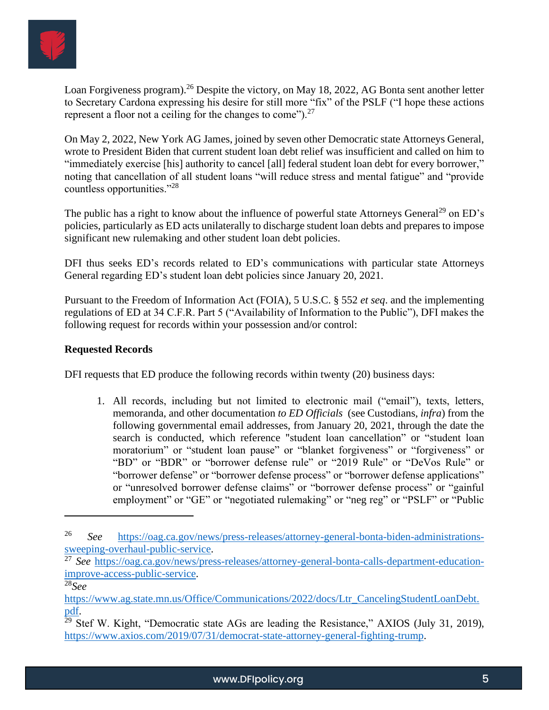

Loan Forgiveness program).<sup>26</sup> Despite the victory, on May 18, 2022, AG Bonta sent another letter to Secretary Cardona expressing his desire for still more "fix" of the PSLF ("I hope these actions represent a floor not a ceiling for the changes to come").<sup>27</sup>

On May 2, 2022, New York AG James, joined by seven other Democratic state Attorneys General, wrote to President Biden that current student loan debt relief was insufficient and called on him to "immediately exercise [his] authority to cancel [all] federal student loan debt for every borrower," noting that cancellation of all student loans "will reduce stress and mental fatigue" and "provide countless opportunities."<sup>28</sup>

The public has a right to know about the influence of powerful state Attorneys General<sup>29</sup> on ED's policies, particularly as ED acts unilaterally to discharge student loan debts and prepares to impose significant new rulemaking and other student loan debt policies.

DFI thus seeks ED's records related to ED's communications with particular state Attorneys General regarding ED's student loan debt policies since January 20, 2021.

Pursuant to the Freedom of Information Act (FOIA), 5 U.S.C. § 552 *et seq*. and the implementing regulations of ED at 34 C.F.R. Part 5 ("Availability of Information to the Public"), DFI makes the following request for records within your possession and/or control:

## **Requested Records**

DFI requests that ED produce the following records within twenty (20) business days:

1. All records, including but not limited to electronic mail ("email"), texts, letters, memoranda, and other documentation *to ED Officials* (see Custodians, *infra*) from the following governmental email addresses, from January 20, 2021, through the date the search is conducted, which reference "student loan cancellation" or "student loan moratorium" or "student loan pause" or "blanket forgiveness" or "forgiveness" or "BD" or "BDR" or "borrower defense rule" or "2019 Rule" or "DeVos Rule" or "borrower defense" or "borrower defense process" or "borrower defense applications" or "unresolved borrower defense claims" or "borrower defense process" or "gainful employment" or "GE" or "negotiated rulemaking" or "neg reg" or "PSLF" or "Public

<sup>26</sup> *See* [https://oag.ca.gov/news/press-releases/attorney-general-bonta-biden-administrations](https://oag.ca.gov/news/press-releases/attorney-general-bonta-biden-administrations-sweeping-overhaul-public-service)[sweeping-overhaul-public-service.](https://oag.ca.gov/news/press-releases/attorney-general-bonta-biden-administrations-sweeping-overhaul-public-service)

<sup>&</sup>lt;sup>27</sup> See [https://oag.ca.gov/news/press-releases/attorney-general-bonta-calls-department-education](https://oag.ca.gov/news/press-releases/attorney-general-bonta-calls-department-education-improve-access-public-service)[improve-access-public-service.](https://oag.ca.gov/news/press-releases/attorney-general-bonta-calls-department-education-improve-access-public-service)

<sup>28</sup>*See* 

[https://www.ag.state.mn.us/Office/Communications/2022/docs/Ltr\\_CancelingStudentLoanDebt.](https://www.ag.state.mn.us/Office/Communications/2022/docs/Ltr_CancelingStudentLoanDebt.pdf) [pdf.](https://www.ag.state.mn.us/Office/Communications/2022/docs/Ltr_CancelingStudentLoanDebt.pdf)

 $29$  Stef W. Kight, "Democratic state AGs are leading the Resistance," AXIOS (July 31, 2019), [https://www.axios.com/2019/07/31/democrat-state-attorney-general-fighting-trump.](https://www.axios.com/2019/07/31/democrat-state-attorney-general-fighting-trump)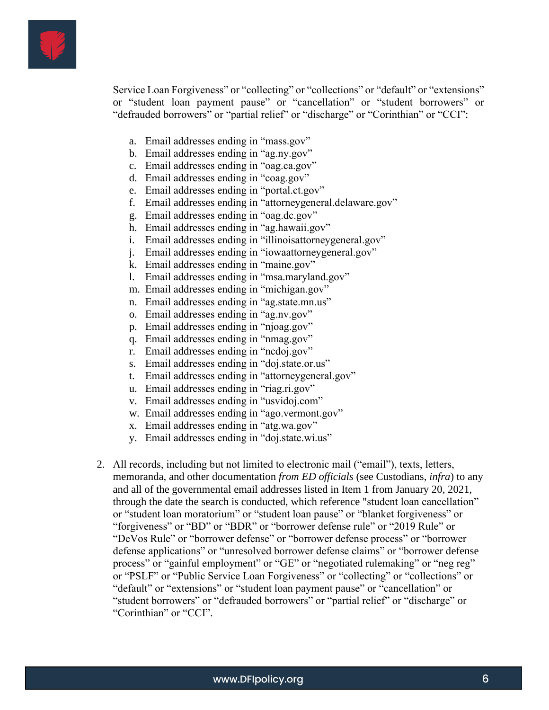

Service Loan Forgiveness" or "collecting" or "collections" or "default" or "extensions" or "student loan payment pause" or "cancellation" or "student borrowers" or "defrauded borrowers" or "partial relief" or "discharge" or "Corinthian" or "CCI":

- a. Email addresses ending in "mass.gov"
- b. Email addresses ending in "ag.ny.gov"
- c. Email addresses ending in "oag.ca.gov"
- d. Email addresses ending in "coag.gov"
- e. Email addresses ending in "portal.ct.gov"
- f. Email addresses ending in "attorneygeneral.delaware.gov"
- g. Email addresses ending in "oag.dc.gov"
- h. Email addresses ending in "ag.hawaii.gov"
- i. Email addresses ending in "illinoisattorneygeneral.gov"
- j. Email addresses ending in "iowaattorneygeneral.gov"
- k. Email addresses ending in "maine.gov"
- l. Email addresses ending in "msa.maryland.gov"
- m. Email addresses ending in "michigan.gov"
- n. Email addresses ending in "ag.state.mn.us"
- o. Email addresses ending in "ag.nv.gov"
- p. Email addresses ending in "njoag.gov"
- q. Email addresses ending in "nmag.gov"
- r. Email addresses ending in "ncdoj.gov"
- s. Email addresses ending in "doj.state.or.us"
- t. Email addresses ending in "attorneygeneral.gov"
- u. Email addresses ending in "riag.ri.gov"
- v. Email addresses ending in "usvidoj.com"
- w. Email addresses ending in "ago.vermont.gov"
- x. Email addresses ending in "atg.wa.gov"
- y. Email addresses ending in "doj.state.wi.us"
- 2. All records, including but not limited to electronic mail ("email"), texts, letters, memoranda, and other documentation *from ED officials* (see Custodians, *infra*) to any and all of the governmental email addresses listed in Item 1 from January 20, 2021, through the date the search is conducted, which reference "student loan cancellation" or "student loan moratorium" or "student loan pause" or "blanket forgiveness" or "forgiveness" or "BD" or "BDR" or "borrower defense rule" or "2019 Rule" or "DeVos Rule" or "borrower defense" or "borrower defense process" or "borrower defense applications" or "unresolved borrower defense claims" or "borrower defense process" or "gainful employment" or "GE" or "negotiated rulemaking" or "neg reg" or "PSLF" or "Public Service Loan Forgiveness" or "collecting" or "collections" or "default" or "extensions" or "student loan payment pause" or "cancellation" or "student borrowers" or "defrauded borrowers" or "partial relief" or "discharge" or "Corinthian" or "CCI".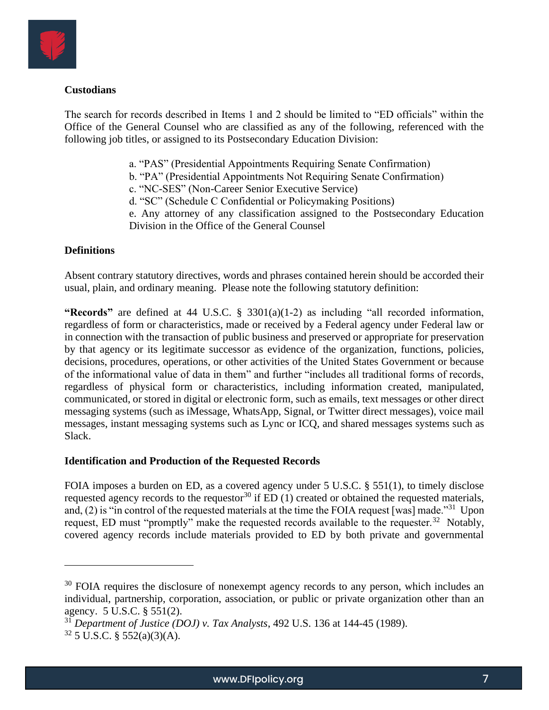

## **Custodians**

The search for records described in Items 1 and 2 should be limited to "ED officials" within the Office of the General Counsel who are classified as any of the following, referenced with the following job titles, or assigned to its Postsecondary Education Division:

- a. "PAS" (Presidential Appointments Requiring Senate Confirmation)
- b. "PA" (Presidential Appointments Not Requiring Senate Confirmation)
- c. "NC-SES" (Non-Career Senior Executive Service)
- d. "SC" (Schedule C Confidential or Policymaking Positions)
- e. Any attorney of any classification assigned to the Postsecondary Education Division in the Office of the General Counsel

### **Definitions**

Absent contrary statutory directives, words and phrases contained herein should be accorded their usual, plain, and ordinary meaning. Please note the following statutory definition:

**"Records"** are defined at 44 U.S.C. § 3301(a)(1-2) as including "all recorded information, regardless of form or characteristics, made or received by a Federal agency under Federal law or in connection with the transaction of public business and preserved or appropriate for preservation by that agency or its legitimate successor as evidence of the organization, functions, policies, decisions, procedures, operations, or other activities of the United States Government or because of the informational value of data in them" and further "includes all traditional forms of records, regardless of physical form or characteristics, including information created, manipulated, communicated, or stored in digital or electronic form, such as emails, text messages or other direct messaging systems (such as iMessage, WhatsApp, Signal, or Twitter direct messages), voice mail messages, instant messaging systems such as Lync or ICQ, and shared messages systems such as Slack.

### **Identification and Production of the Requested Records**

FOIA imposes a burden on ED, as a covered agency under 5 U.S.C. § 551(1), to timely disclose requested agency records to the requestor<sup>30</sup> if  $ED(1)$  created or obtained the requested materials, and, (2) is "in control of the requested materials at the time the FOIA request [was] made."<sup>31</sup> Upon request, ED must "promptly" make the requested records available to the requester.<sup>32</sup> Notably, covered agency records include materials provided to ED by both private and governmental

<sup>&</sup>lt;sup>30</sup> FOIA requires the disclosure of nonexempt agency records to any person, which includes an individual, partnership, corporation, association, or public or private organization other than an agency. 5 U.S.C. § 551(2).

<sup>31</sup> *Department of Justice (DOJ) v. Tax Analysts*, 492 U.S. 136 at 144-45 (1989).

 $32$  5 U.S.C. § 552(a)(3)(A).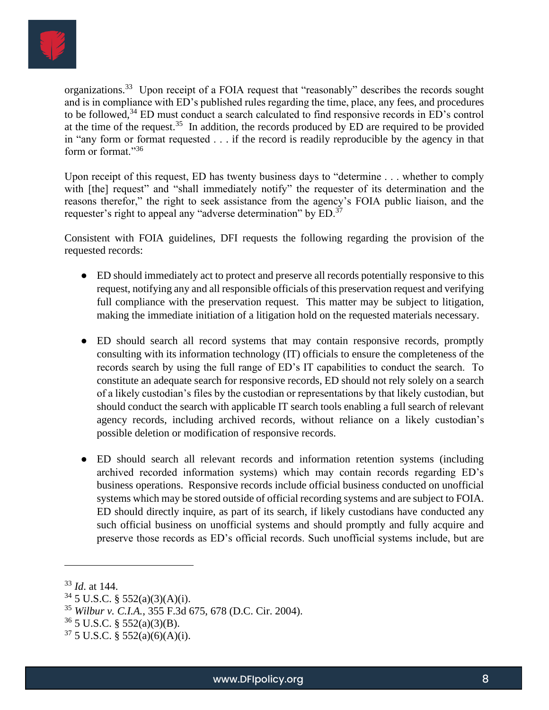

organizations.<sup>33</sup> Upon receipt of a FOIA request that "reasonably" describes the records sought and is in compliance with ED's published rules regarding the time, place, any fees, and procedures to be followed,<sup>34</sup> ED must conduct a search calculated to find responsive records in ED's control at the time of the request.<sup>35</sup> In addition, the records produced by ED are required to be provided in "any form or format requested . . . if the record is readily reproducible by the agency in that form or format."<sup>36</sup>

Upon receipt of this request, ED has twenty business days to "determine . . . whether to comply with [the] request" and "shall immediately notify" the requester of its determination and the reasons therefor," the right to seek assistance from the agency's FOIA public liaison, and the requester's right to appeal any "adverse determination" by ED.<sup>37</sup>

Consistent with FOIA guidelines, DFI requests the following regarding the provision of the requested records:

- ED should immediately act to protect and preserve all records potentially responsive to this request, notifying any and all responsible officials of this preservation request and verifying full compliance with the preservation request. This matter may be subject to litigation, making the immediate initiation of a litigation hold on the requested materials necessary.
- ED should search all record systems that may contain responsive records, promptly consulting with its information technology (IT) officials to ensure the completeness of the records search by using the full range of ED's IT capabilities to conduct the search. To constitute an adequate search for responsive records, ED should not rely solely on a search of a likely custodian's files by the custodian or representations by that likely custodian, but should conduct the search with applicable IT search tools enabling a full search of relevant agency records, including archived records, without reliance on a likely custodian's possible deletion or modification of responsive records.
- ED should search all relevant records and information retention systems (including archived recorded information systems) which may contain records regarding ED's business operations. Responsive records include official business conducted on unofficial systems which may be stored outside of official recording systems and are subject to FOIA. ED should directly inquire, as part of its search, if likely custodians have conducted any such official business on unofficial systems and should promptly and fully acquire and preserve those records as ED's official records. Such unofficial systems include, but are

<sup>33</sup> *Id*. at 144.

 $34$  5 U.S.C. § 552(a)(3)(A)(i).

<sup>35</sup> *Wilbur v. C.I.A.*, 355 F.3d 675, 678 (D.C. Cir. 2004).

 $36$  5 U.S.C. § 552(a)(3)(B).

 $37\,5$  U.S.C. § 552(a)(6)(A)(i).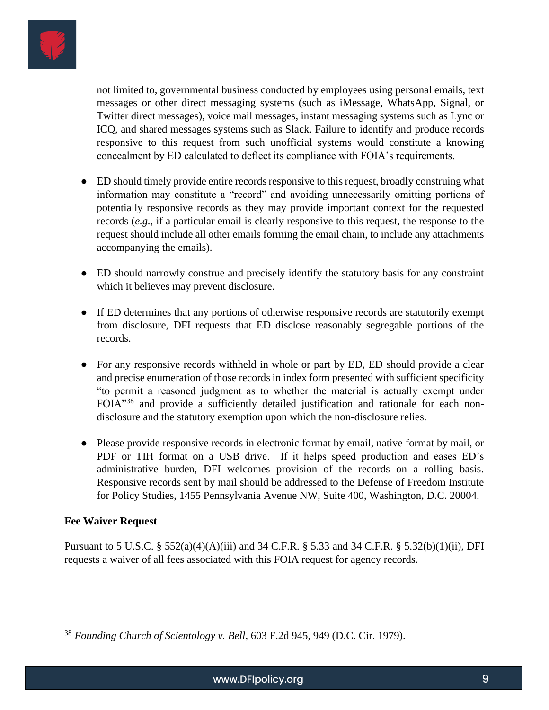

not limited to, governmental business conducted by employees using personal emails, text messages or other direct messaging systems (such as iMessage, WhatsApp, Signal, or Twitter direct messages), voice mail messages, instant messaging systems such as Lync or ICQ, and shared messages systems such as Slack. Failure to identify and produce records responsive to this request from such unofficial systems would constitute a knowing concealment by ED calculated to deflect its compliance with FOIA's requirements.

- ED should timely provide entire records responsive to this request, broadly construing what information may constitute a "record" and avoiding unnecessarily omitting portions of potentially responsive records as they may provide important context for the requested records (*e.g.,* if a particular email is clearly responsive to this request, the response to the request should include all other emails forming the email chain, to include any attachments accompanying the emails).
- ED should narrowly construe and precisely identify the statutory basis for any constraint which it believes may prevent disclosure.
- If ED determines that any portions of otherwise responsive records are statutorily exempt from disclosure, DFI requests that ED disclose reasonably segregable portions of the records.
- For any responsive records withheld in whole or part by ED, ED should provide a clear and precise enumeration of those records in index form presented with sufficient specificity "to permit a reasoned judgment as to whether the material is actually exempt under FOIA"<sup>38</sup> and provide a sufficiently detailed justification and rationale for each nondisclosure and the statutory exemption upon which the non-disclosure relies.
- Please provide responsive records in electronic format by email, native format by mail, or PDF or TIH format on a USB drive. If it helps speed production and eases ED's administrative burden, DFI welcomes provision of the records on a rolling basis. Responsive records sent by mail should be addressed to the Defense of Freedom Institute for Policy Studies, 1455 Pennsylvania Avenue NW, Suite 400, Washington, D.C. 20004.

### **Fee Waiver Request**

Pursuant to 5 U.S.C. § 552(a)(4)(A)(iii) and 34 C.F.R. § 5.33 and 34 C.F.R. § 5.32(b)(1)(ii), DFI requests a waiver of all fees associated with this FOIA request for agency records.

<sup>38</sup> *Founding Church of Scientology v. Bell*, 603 F.2d 945, 949 (D.C. Cir. 1979).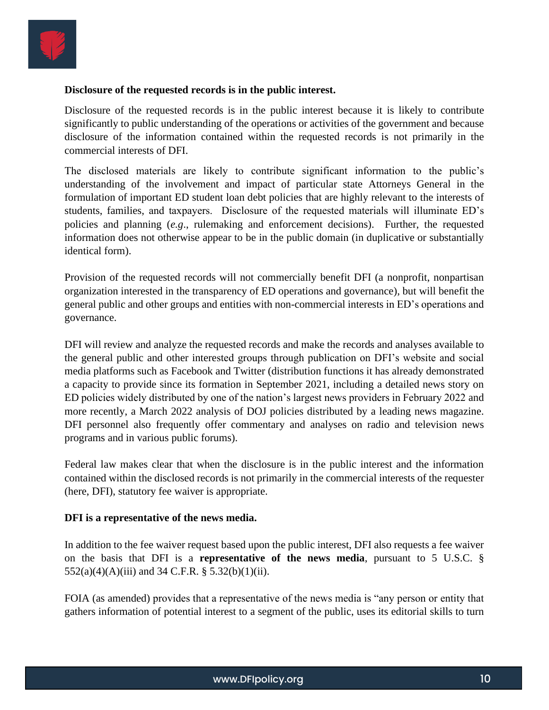

#### **Disclosure of the requested records is in the public interest.**

Disclosure of the requested records is in the public interest because it is likely to contribute significantly to public understanding of the operations or activities of the government and because disclosure of the information contained within the requested records is not primarily in the commercial interests of DFI.

The disclosed materials are likely to contribute significant information to the public's understanding of the involvement and impact of particular state Attorneys General in the formulation of important ED student loan debt policies that are highly relevant to the interests of students, families, and taxpayers. Disclosure of the requested materials will illuminate ED's policies and planning (*e.g*., rulemaking and enforcement decisions). Further, the requested information does not otherwise appear to be in the public domain (in duplicative or substantially identical form).

Provision of the requested records will not commercially benefit DFI (a nonprofit, nonpartisan organization interested in the transparency of ED operations and governance), but will benefit the general public and other groups and entities with non-commercial interests in ED's operations and governance.

DFI will review and analyze the requested records and make the records and analyses available to the general public and other interested groups through publication on DFI's website and social media platforms such as Facebook and Twitter (distribution functions it has already demonstrated a capacity to provide since its formation in September 2021, including a detailed news story on ED policies widely distributed by one of the nation's largest news providers in February 2022 and more recently, a March 2022 analysis of DOJ policies distributed by a leading news magazine. DFI personnel also frequently offer commentary and analyses on radio and television news programs and in various public forums).

Federal law makes clear that when the disclosure is in the public interest and the information contained within the disclosed records is not primarily in the commercial interests of the requester (here, DFI), statutory fee waiver is appropriate.

#### **DFI is a representative of the news media.**

In addition to the fee waiver request based upon the public interest, DFI also requests a fee waiver on the basis that DFI is a **representative of the news media**, pursuant to 5 U.S.C. §  $552(a)(4)(A)(iii)$  and 34 C.F.R. §  $5.32(b)(1)(ii)$ .

FOIA (as amended) provides that a representative of the news media is "any person or entity that gathers information of potential interest to a segment of the public, uses its editorial skills to turn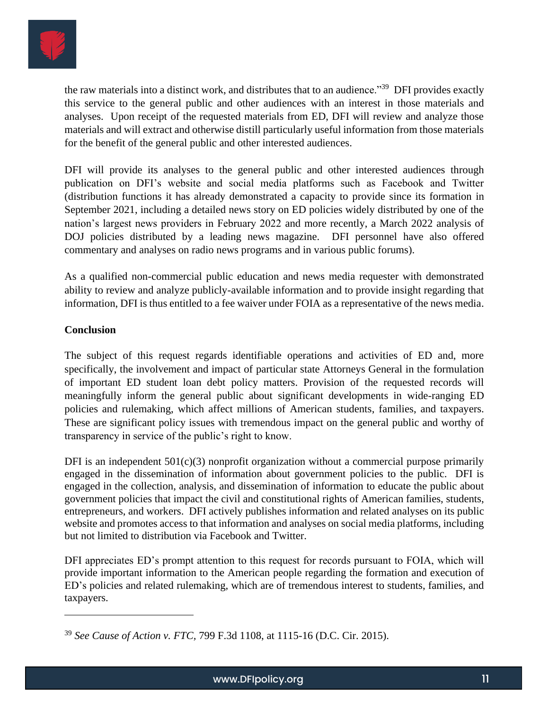

the raw materials into a distinct work, and distributes that to an audience."<sup>39</sup> DFI provides exactly this service to the general public and other audiences with an interest in those materials and analyses. Upon receipt of the requested materials from ED, DFI will review and analyze those materials and will extract and otherwise distill particularly useful information from those materials for the benefit of the general public and other interested audiences.

DFI will provide its analyses to the general public and other interested audiences through publication on DFI's website and social media platforms such as Facebook and Twitter (distribution functions it has already demonstrated a capacity to provide since its formation in September 2021, including a detailed news story on ED policies widely distributed by one of the nation's largest news providers in February 2022 and more recently, a March 2022 analysis of DOJ policies distributed by a leading news magazine. DFI personnel have also offered commentary and analyses on radio news programs and in various public forums).

As a qualified non-commercial public education and news media requester with demonstrated ability to review and analyze publicly-available information and to provide insight regarding that information, DFI is thus entitled to a fee waiver under FOIA as a representative of the news media.

# **Conclusion**

The subject of this request regards identifiable operations and activities of ED and, more specifically, the involvement and impact of particular state Attorneys General in the formulation of important ED student loan debt policy matters. Provision of the requested records will meaningfully inform the general public about significant developments in wide-ranging ED policies and rulemaking, which affect millions of American students, families, and taxpayers. These are significant policy issues with tremendous impact on the general public and worthy of transparency in service of the public's right to know.

DFI is an independent  $501(c)(3)$  nonprofit organization without a commercial purpose primarily engaged in the dissemination of information about government policies to the public. DFI is engaged in the collection, analysis, and dissemination of information to educate the public about government policies that impact the civil and constitutional rights of American families, students, entrepreneurs, and workers. DFI actively publishes information and related analyses on its public website and promotes access to that information and analyses on social media platforms, including but not limited to distribution via Facebook and Twitter.

DFI appreciates ED's prompt attention to this request for records pursuant to FOIA, which will provide important information to the American people regarding the formation and execution of ED's policies and related rulemaking, which are of tremendous interest to students, families, and taxpayers.

<sup>39</sup> *See Cause of Action v. FTC,* 799 F.3d 1108, at 1115-16 (D.C. Cir. 2015).